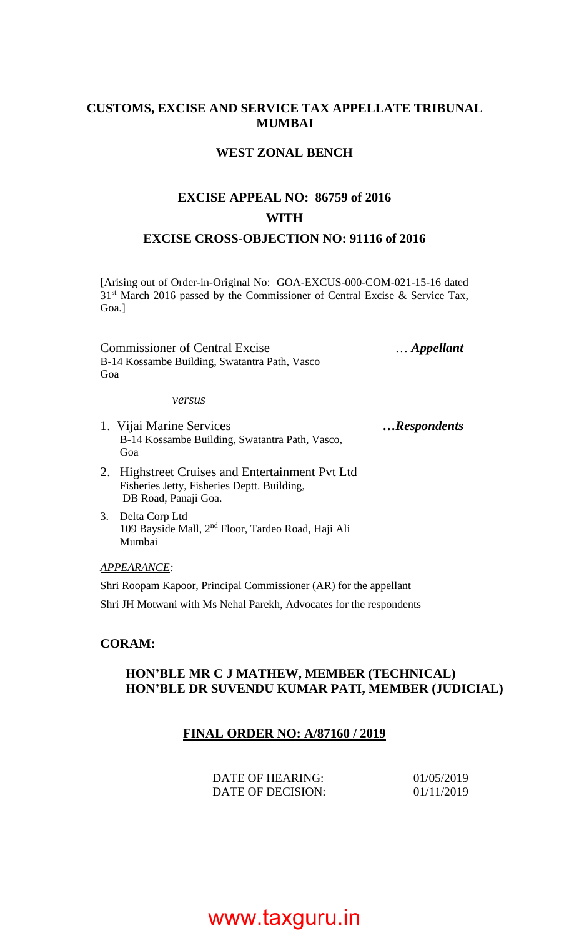#### **CUSTOMS, EXCISE AND SERVICE TAX APPELLATE TRIBUNAL MUMBAI**

#### **WEST ZONAL BENCH**

#### **EXCISE APPEAL NO: 86759 of 2016 WITH EXCISE CROSS-OBJECTION NO: 91116 of 2016**

[Arising out of Order-in-Original No: GOA-EXCUS-000-COM-021-15-16 dated  $31<sup>st</sup>$  March 2016 passed by the Commissioner of Central Excise & Service Tax, Goa.]

Commissioner of Central Excise … *Appellant* B-14 Kossambe Building, Swatantra Path, Vasco Goa

*versus*

- 1. Vijai Marine Services *…Respondents* B-14 Kossambe Building, Swatantra Path, Vasco, Goa
- 2. Highstreet Cruises and Entertainment Pvt Ltd Fisheries Jetty, Fisheries Deptt. Building, DB Road, Panaji Goa.
- 3. Delta Corp Ltd 109 Bayside Mall, 2nd Floor, Tardeo Road, Haji Ali Mumbai

*APPEARANCE:*

Shri Roopam Kapoor, Principal Commissioner (AR) for the appellant Shri JH Motwani with Ms Nehal Parekh, Advocates for the respondents

#### **CORAM:**

#### **HON'BLE MR C J MATHEW, MEMBER (TECHNICAL) HON'BLE DR SUVENDU KUMAR PATI, MEMBER (JUDICIAL)**

#### **FINAL ORDER NO: A/87160 / 2019**

| DATE OF HEARING:  | 01/05/2019 |
|-------------------|------------|
| DATE OF DECISION: | 01/11/2019 |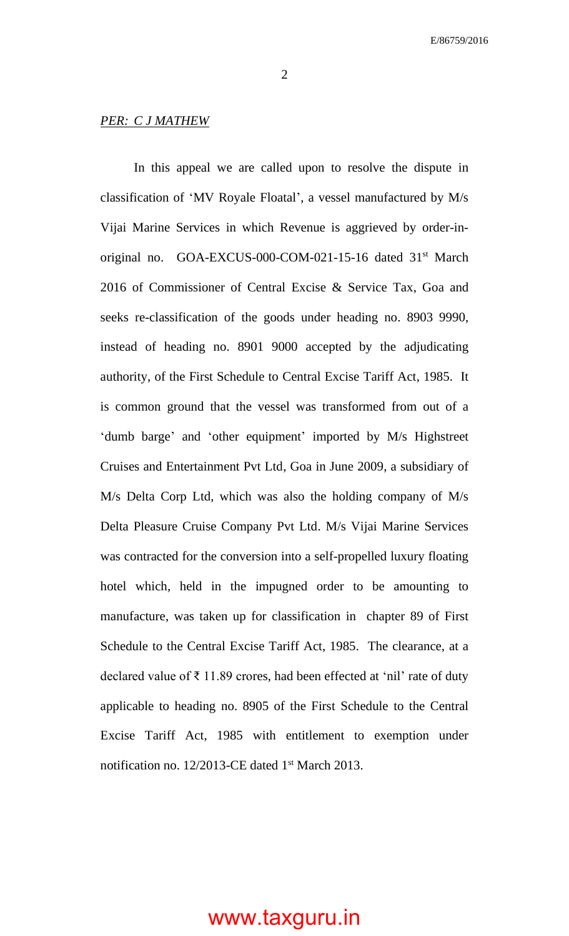2

#### *PER: C J MATHEW*

In this appeal we are called upon to resolve the dispute in classification of 'MV Royale Floatal', a vessel manufactured by M/s Vijai Marine Services in which Revenue is aggrieved by order-inoriginal no. GOA-EXCUS-000-COM-021-15-16 dated 31<sup>st</sup> March 2016 of Commissioner of Central Excise & Service Tax, Goa and seeks re-classification of the goods under heading no. 8903 9990, instead of heading no. 8901 9000 accepted by the adjudicating authority, of the First Schedule to Central Excise Tariff Act, 1985. It is common ground that the vessel was transformed from out of a 'dumb barge' and 'other equipment' imported by M/s Highstreet Cruises and Entertainment Pvt Ltd, Goa in June 2009, a subsidiary of M/s Delta Corp Ltd, which was also the holding company of M/s Delta Pleasure Cruise Company Pvt Ltd. M/s Vijai Marine Services was contracted for the conversion into a self-propelled luxury floating hotel which, held in the impugned order to be amounting to manufacture, was taken up for classification in chapter 89 of First Schedule to the Central Excise Tariff Act, 1985. The clearance, at a declared value of ₹ 11.89 crores, had been effected at 'nil' rate of duty applicable to heading no. 8905 of the First Schedule to the Central Excise Tariff Act, 1985 with entitlement to exemption under notification no. 12/2013-CE dated 1<sup>st</sup> March 2013.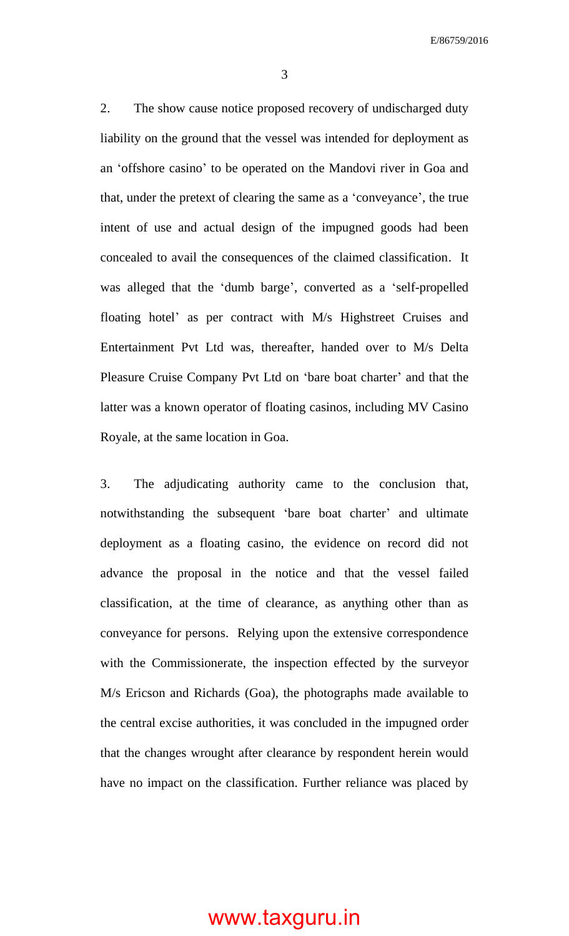2. The show cause notice proposed recovery of undischarged duty liability on the ground that the vessel was intended for deployment as an 'offshore casino' to be operated on the Mandovi river in Goa and that, under the pretext of clearing the same as a 'conveyance', the true intent of use and actual design of the impugned goods had been concealed to avail the consequences of the claimed classification. It was alleged that the 'dumb barge', converted as a 'self-propelled floating hotel' as per contract with M/s Highstreet Cruises and Entertainment Pvt Ltd was, thereafter, handed over to M/s Delta Pleasure Cruise Company Pvt Ltd on 'bare boat charter' and that the latter was a known operator of floating casinos, including MV Casino Royale, at the same location in Goa.

3. The adjudicating authority came to the conclusion that, notwithstanding the subsequent 'bare boat charter' and ultimate deployment as a floating casino, the evidence on record did not advance the proposal in the notice and that the vessel failed classification, at the time of clearance, as anything other than as conveyance for persons. Relying upon the extensive correspondence with the Commissionerate, the inspection effected by the surveyor M/s Ericson and Richards (Goa), the photographs made available to the central excise authorities, it was concluded in the impugned order that the changes wrought after clearance by respondent herein would have no impact on the classification. Further reliance was placed by

3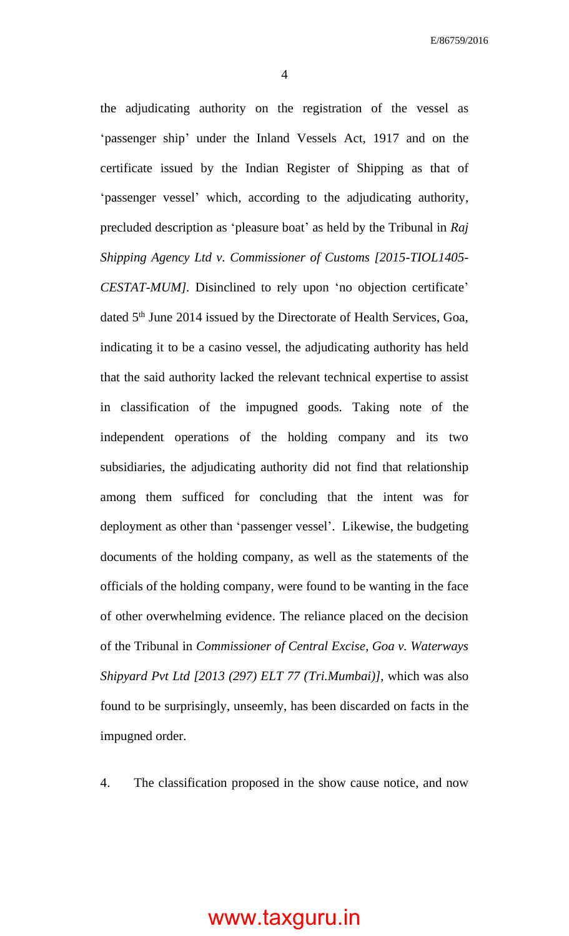4

the adjudicating authority on the registration of the vessel as 'passenger ship' under the Inland Vessels Act, 1917 and on the certificate issued by the Indian Register of Shipping as that of 'passenger vessel' which, according to the adjudicating authority, precluded description as 'pleasure boat' as held by the Tribunal in *Raj Shipping Agency Ltd v. Commissioner of Customs [2015-TIOL1405- CESTAT-MUM].* Disinclined to rely upon 'no objection certificate' dated 5<sup>th</sup> June 2014 issued by the Directorate of Health Services, Goa, indicating it to be a casino vessel, the adjudicating authority has held that the said authority lacked the relevant technical expertise to assist in classification of the impugned goods. Taking note of the independent operations of the holding company and its two subsidiaries, the adjudicating authority did not find that relationship among them sufficed for concluding that the intent was for deployment as other than 'passenger vessel'. Likewise, the budgeting documents of the holding company, as well as the statements of the officials of the holding company, were found to be wanting in the face of other overwhelming evidence. The reliance placed on the decision of the Tribunal in *Commissioner of Central Excise, Goa v. Waterways Shipyard Pvt Ltd [2013 (297) ELT 77 (Tri.Mumbai)],* which was also found to be surprisingly, unseemly, has been discarded on facts in the impugned order.

4. The classification proposed in the show cause notice, and now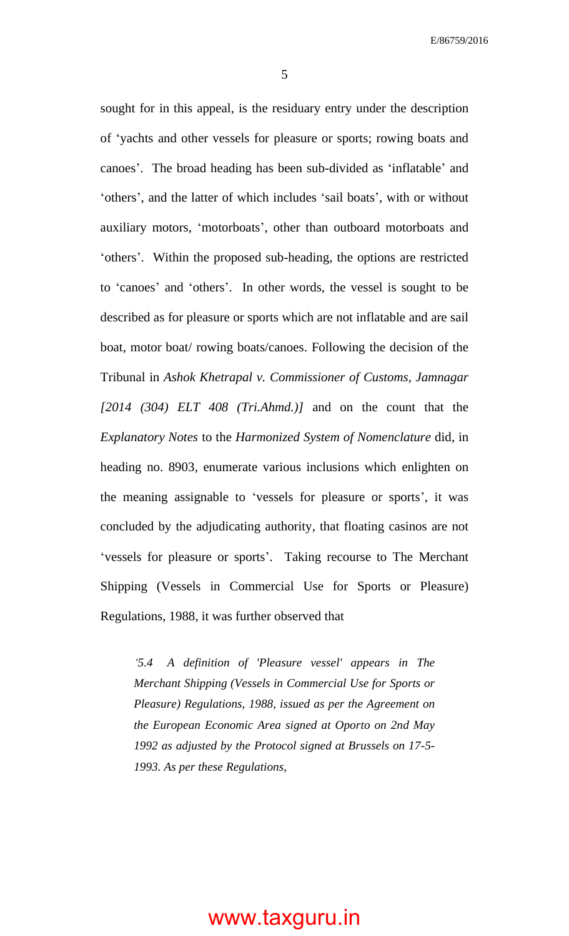5

sought for in this appeal, is the residuary entry under the description of 'yachts and other vessels for pleasure or sports; rowing boats and canoes'. The broad heading has been sub-divided as 'inflatable' and 'others', and the latter of which includes 'sail boats', with or without auxiliary motors, 'motorboats', other than outboard motorboats and 'others'. Within the proposed sub-heading, the options are restricted to 'canoes' and 'others'. In other words, the vessel is sought to be described as for pleasure or sports which are not inflatable and are sail boat, motor boat/ rowing boats/canoes. Following the decision of the Tribunal in *Ashok Khetrapal v. Commissioner of Customs, Jamnagar [2014 (304) ELT 408 (Tri.Ahmd.)]* and on the count that the *Explanatory Notes* to the *Harmonized System of Nomenclature* did, in heading no. 8903, enumerate various inclusions which enlighten on the meaning assignable to 'vessels for pleasure or sports', it was concluded by the adjudicating authority, that floating casinos are not 'vessels for pleasure or sports'. Taking recourse to The Merchant Shipping (Vessels in Commercial Use for Sports or Pleasure) Regulations, 1988, it was further observed that

*'5.4 A definition of 'Pleasure vessel' appears in The Merchant Shipping (Vessels in Commercial Use for Sports or Pleasure) Regulations, 1988, issued as per the Agreement on the European Economic Area signed at Oporto on 2nd May 1992 as adjusted by the Protocol signed at Brussels on 17-5- 1993. As per these Regulations,*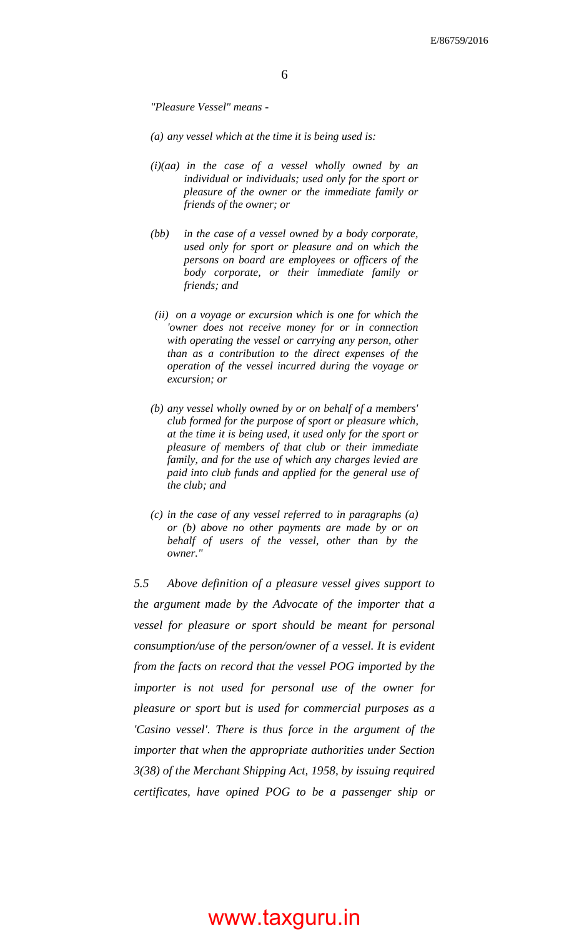*"Pleasure Vessel" means -*

- *(a) any vessel which at the time it is being used is:*
- *(i)(aa) in the case of a vessel wholly owned by an individual or individuals; used only for the sport or pleasure of the owner or the immediate family or friends of the owner; or*
- *(bb) in the case of a vessel owned by a body corporate, used only for sport or pleasure and on which the persons on board are employees or officers of the body corporate, or their immediate family or friends; and*
- *(ii) on a voyage or excursion which is one for which the 'owner does not receive money for or in connection with operating the vessel or carrying any person, other than as a contribution to the direct expenses of the operation of the vessel incurred during the voyage or excursion; or*
- *(b) any vessel wholly owned by or on behalf of a members' club formed for the purpose of sport or pleasure which, at the time it is being used, it used only for the sport or pleasure of members of that club or their immediate family, and for the use of which any charges levied are paid into club funds and applied for the general use of the club; and*
- *(c) in the case of any vessel referred to in paragraphs (a) or (b) above no other payments are made by or on behalf of users of the vessel, other than by the owner."*

*5.5 Above definition of a pleasure vessel gives support to the argument made by the Advocate of the importer that a vessel for pleasure or sport should be meant for personal consumption/use of the person/owner of a vessel. It is evident from the facts on record that the vessel POG imported by the importer is not used for personal use of the owner for pleasure or sport but is used for commercial purposes as a 'Casino vessel'. There is thus force in the argument of the importer that when the appropriate authorities under Section 3(38) of the Merchant Shipping Act, 1958, by issuing required certificates, have opined POG to be a passenger ship or*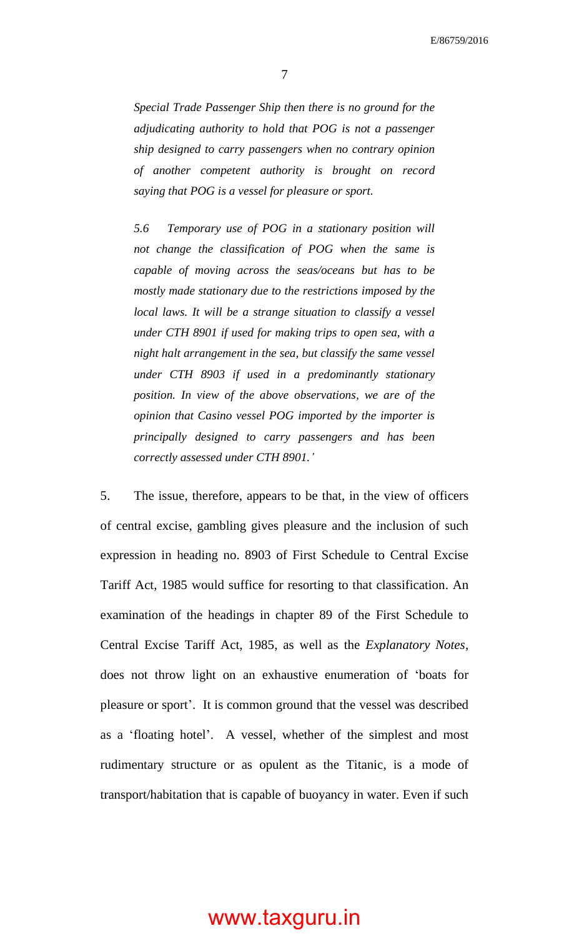7

*Special Trade Passenger Ship then there is no ground for the adjudicating authority to hold that POG is not a passenger ship designed to carry passengers when no contrary opinion of another competent authority is brought on record saying that POG is a vessel for pleasure or sport.*

*5.6 Temporary use of POG in a stationary position will not change the classification of POG when the same is capable of moving across the seas/oceans but has to be mostly made stationary due to the restrictions imposed by the local laws. It will be a strange situation to classify a vessel under CTH 8901 if used for making trips to open sea, with a night halt arrangement in the sea, but classify the same vessel under CTH 8903 if used in a predominantly stationary position. In view of the above observations, we are of the opinion that Casino vessel POG imported by the importer is principally designed to carry passengers and has been correctly assessed under CTH 8901.'*

5. The issue, therefore, appears to be that, in the view of officers of central excise, gambling gives pleasure and the inclusion of such expression in heading no. 8903 of First Schedule to Central Excise Tariff Act, 1985 would suffice for resorting to that classification. An examination of the headings in chapter 89 of the First Schedule to Central Excise Tariff Act, 1985, as well as the *Explanatory Notes,* does not throw light on an exhaustive enumeration of 'boats for pleasure or sport'. It is common ground that the vessel was described as a 'floating hotel'. A vessel, whether of the simplest and most rudimentary structure or as opulent as the Titanic, is a mode of transport/habitation that is capable of buoyancy in water. Even if such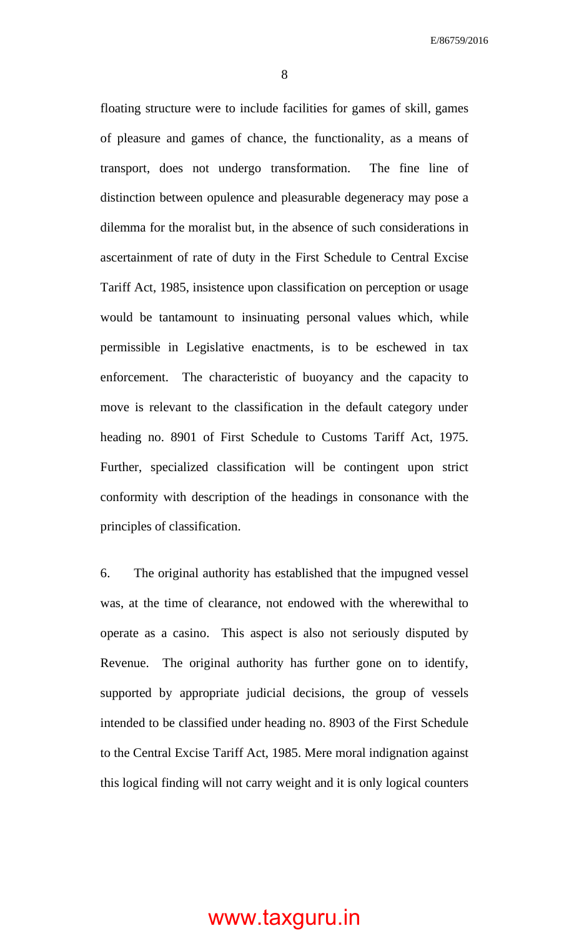8

floating structure were to include facilities for games of skill, games of pleasure and games of chance, the functionality, as a means of transport, does not undergo transformation. The fine line of distinction between opulence and pleasurable degeneracy may pose a dilemma for the moralist but, in the absence of such considerations in ascertainment of rate of duty in the First Schedule to Central Excise Tariff Act, 1985, insistence upon classification on perception or usage would be tantamount to insinuating personal values which, while permissible in Legislative enactments, is to be eschewed in tax enforcement. The characteristic of buoyancy and the capacity to move is relevant to the classification in the default category under heading no. 8901 of First Schedule to Customs Tariff Act, 1975. Further, specialized classification will be contingent upon strict conformity with description of the headings in consonance with the principles of classification.

6. The original authority has established that the impugned vessel was, at the time of clearance, not endowed with the wherewithal to operate as a casino. This aspect is also not seriously disputed by Revenue. The original authority has further gone on to identify, supported by appropriate judicial decisions, the group of vessels intended to be classified under heading no. 8903 of the First Schedule to the Central Excise Tariff Act, 1985. Mere moral indignation against this logical finding will not carry weight and it is only logical counters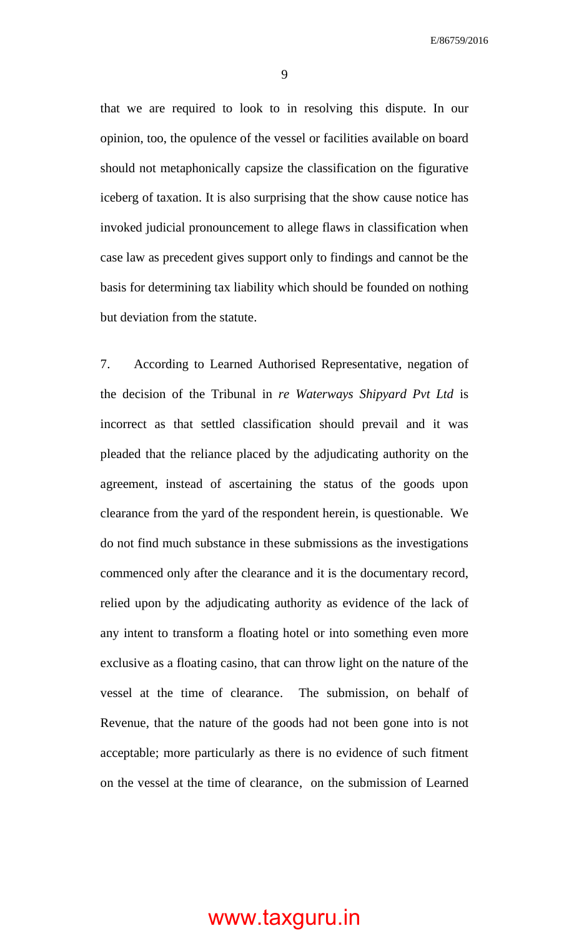that we are required to look to in resolving this dispute. In our opinion, too, the opulence of the vessel or facilities available on board should not metaphonically capsize the classification on the figurative iceberg of taxation. It is also surprising that the show cause notice has invoked judicial pronouncement to allege flaws in classification when case law as precedent gives support only to findings and cannot be the basis for determining tax liability which should be founded on nothing

but deviation from the statute.

7. According to Learned Authorised Representative, negation of the decision of the Tribunal in *re Waterways Shipyard Pvt Ltd* is incorrect as that settled classification should prevail and it was pleaded that the reliance placed by the adjudicating authority on the agreement, instead of ascertaining the status of the goods upon clearance from the yard of the respondent herein, is questionable. We do not find much substance in these submissions as the investigations commenced only after the clearance and it is the documentary record, relied upon by the adjudicating authority as evidence of the lack of any intent to transform a floating hotel or into something even more exclusive as a floating casino, that can throw light on the nature of the vessel at the time of clearance. The submission, on behalf of Revenue, that the nature of the goods had not been gone into is not acceptable; more particularly as there is no evidence of such fitment on the vessel at the time of clearance, on the submission of Learned

9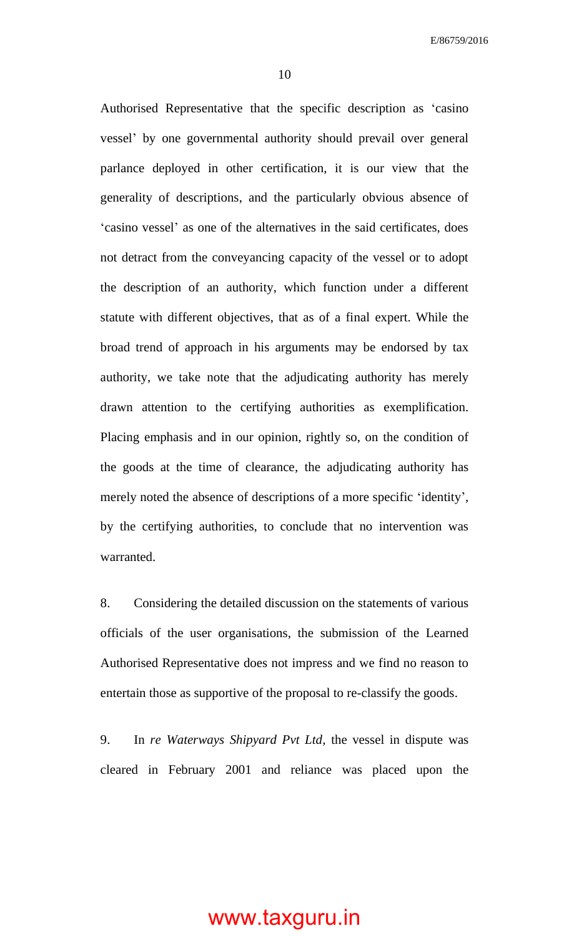10

Authorised Representative that the specific description as 'casino vessel' by one governmental authority should prevail over general parlance deployed in other certification, it is our view that the generality of descriptions, and the particularly obvious absence of 'casino vessel' as one of the alternatives in the said certificates, does not detract from the conveyancing capacity of the vessel or to adopt the description of an authority, which function under a different statute with different objectives, that as of a final expert. While the broad trend of approach in his arguments may be endorsed by tax authority, we take note that the adjudicating authority has merely drawn attention to the certifying authorities as exemplification. Placing emphasis and in our opinion, rightly so, on the condition of the goods at the time of clearance, the adjudicating authority has merely noted the absence of descriptions of a more specific 'identity', by the certifying authorities, to conclude that no intervention was warranted.

8. Considering the detailed discussion on the statements of various officials of the user organisations, the submission of the Learned Authorised Representative does not impress and we find no reason to entertain those as supportive of the proposal to re-classify the goods.

9. In *re Waterways Shipyard Pvt Ltd,* the vessel in dispute was cleared in February 2001 and reliance was placed upon the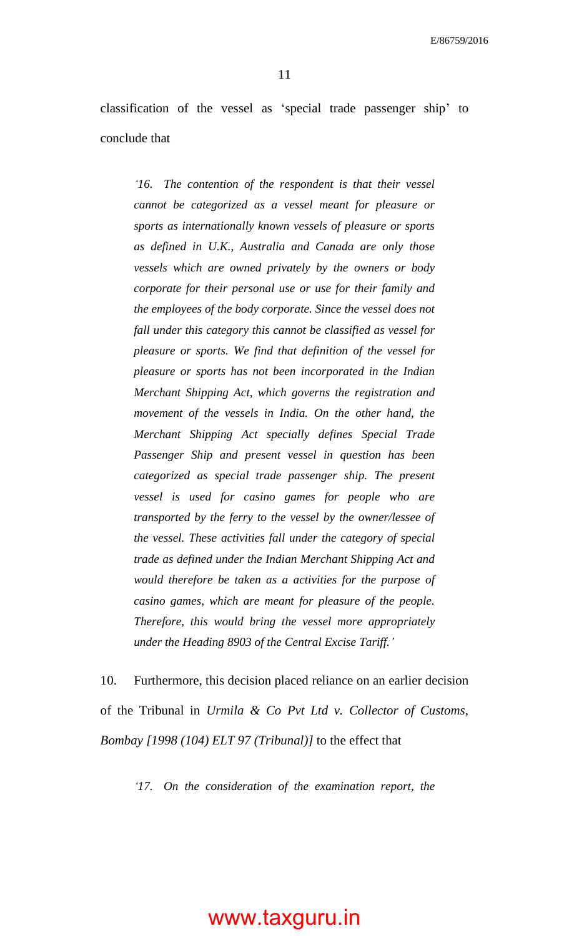classification of the vessel as 'special trade passenger ship' to conclude that

*'16. The contention of the respondent is that their vessel cannot be categorized as a vessel meant for pleasure or sports as internationally known vessels of pleasure or sports as defined in U.K., Australia and Canada are only those vessels which are owned privately by the owners or body corporate for their personal use or use for their family and the employees of the body corporate. Since the vessel does not fall under this category this cannot be classified as vessel for pleasure or sports. We find that definition of the vessel for pleasure or sports has not been incorporated in the Indian Merchant Shipping Act, which governs the registration and movement of the vessels in India. On the other hand, the Merchant Shipping Act specially defines Special Trade Passenger Ship and present vessel in question has been categorized as special trade passenger ship. The present vessel is used for casino games for people who are transported by the ferry to the vessel by the owner/lessee of the vessel. These activities fall under the category of special trade as defined under the Indian Merchant Shipping Act and would therefore be taken as a activities for the purpose of casino games, which are meant for pleasure of the people. Therefore, this would bring the vessel more appropriately under the Heading 8903 of the Central Excise Tariff.'*

10. Furthermore, this decision placed reliance on an earlier decision of the Tribunal in *Urmila & Co Pvt Ltd v. Collector of Customs, Bombay [1998 (104) ELT 97 (Tribunal)]* to the effect that

*'17. On the consideration of the examination report, the*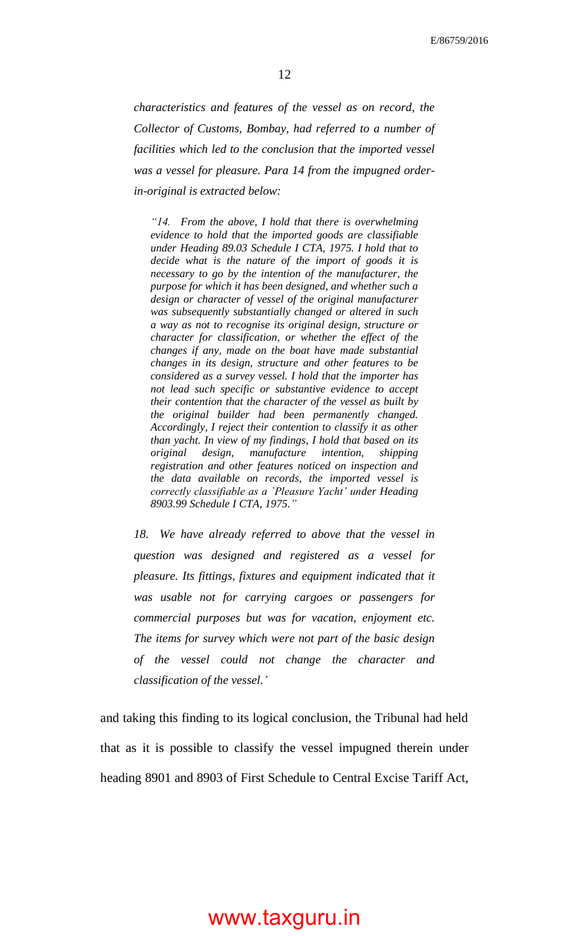*characteristics and features of the vessel as on record, the Collector of Customs, Bombay, had referred to a number of facilities which led to the conclusion that the imported vessel was a vessel for pleasure. Para 14 from the impugned orderin-original is extracted below:*

*"14. From the above, I hold that there is overwhelming evidence to hold that the imported goods are classifiable under Heading 89.03 Schedule I CTA, 1975. I hold that to decide what is the nature of the import of goods it is necessary to go by the intention of the manufacturer, the purpose for which it has been designed, and whether such a design or character of vessel of the original manufacturer was subsequently substantially changed or altered in such a way as not to recognise its original design, structure or character for classification, or whether the effect of the changes if any, made on the boat have made substantial changes in its design, structure and other features to be considered as a survey vessel. I hold that the importer has not lead such specific or substantive evidence to accept their contention that the character of the vessel as built by the original builder had been permanently changed. Accordingly, I reject their contention to classify it as other than yacht. In view of my findings, I hold that based on its original design, manufacture intention, shipping registration and other features noticed on inspection and the data available on records, the imported vessel is correctly classifiable as a `Pleasure Yacht' under Heading 8903.99 Schedule I CTA, 1975."*

*18. We have already referred to above that the vessel in question was designed and registered as a vessel for pleasure. Its fittings, fixtures and equipment indicated that it was usable not for carrying cargoes or passengers for commercial purposes but was for vacation, enjoyment etc. The items for survey which were not part of the basic design of the vessel could not change the character and classification of the vessel.'*

and taking this finding to its logical conclusion, the Tribunal had held that as it is possible to classify the vessel impugned therein under heading 8901 and 8903 of First Schedule to Central Excise Tariff Act,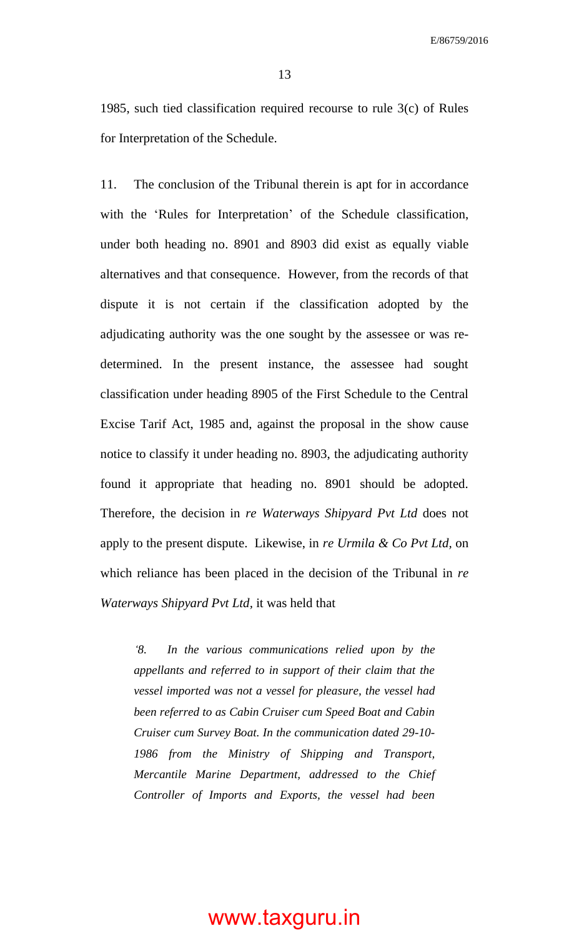13

1985, such tied classification required recourse to rule 3(c) of Rules for Interpretation of the Schedule.

11. The conclusion of the Tribunal therein is apt for in accordance with the 'Rules for Interpretation' of the Schedule classification, under both heading no. 8901 and 8903 did exist as equally viable alternatives and that consequence. However, from the records of that dispute it is not certain if the classification adopted by the adjudicating authority was the one sought by the assessee or was redetermined. In the present instance, the assessee had sought classification under heading 8905 of the First Schedule to the Central Excise Tarif Act, 1985 and, against the proposal in the show cause notice to classify it under heading no. 8903, the adjudicating authority found it appropriate that heading no. 8901 should be adopted. Therefore, the decision in *re Waterways Shipyard Pvt Ltd* does not apply to the present dispute. Likewise, in *re Urmila & Co Pvt Ltd,* on which reliance has been placed in the decision of the Tribunal in *re Waterways Shipyard Pvt Ltd,* it was held that

*'8. In the various communications relied upon by the appellants and referred to in support of their claim that the vessel imported was not a vessel for pleasure, the vessel had been referred to as Cabin Cruiser cum Speed Boat and Cabin Cruiser cum Survey Boat. In the communication dated 29-10- 1986 from the Ministry of Shipping and Transport, Mercantile Marine Department, addressed to the Chief Controller of Imports and Exports, the vessel had been*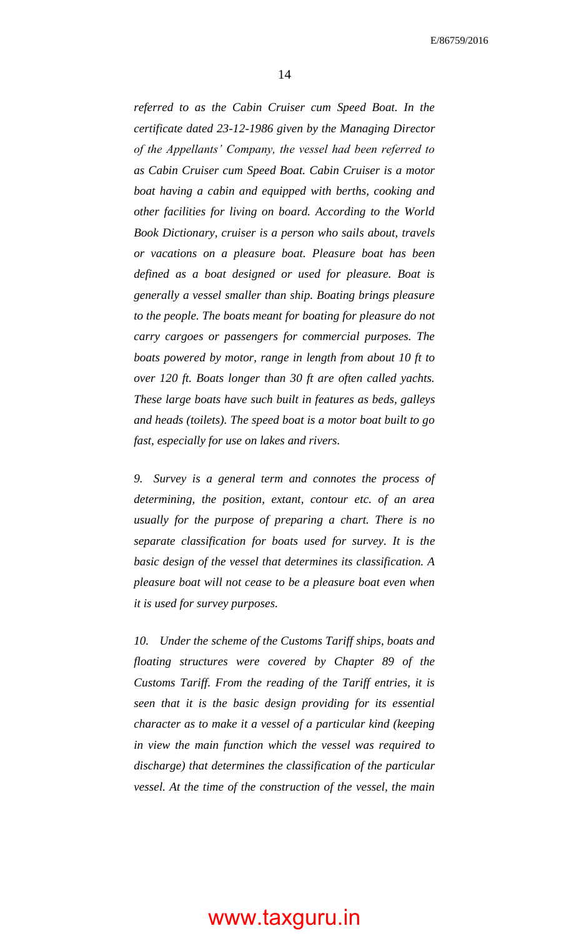*referred to as the Cabin Cruiser cum Speed Boat. In the certificate dated 23-12-1986 given by the Managing Director of the Appellants' Company, the vessel had been referred to as Cabin Cruiser cum Speed Boat. Cabin Cruiser is a motor boat having a cabin and equipped with berths, cooking and other facilities for living on board. According to the World Book Dictionary, cruiser is a person who sails about, travels or vacations on a pleasure boat. Pleasure boat has been defined as a boat designed or used for pleasure. Boat is generally a vessel smaller than ship. Boating brings pleasure to the people. The boats meant for boating for pleasure do not carry cargoes or passengers for commercial purposes. The boats powered by motor, range in length from about 10 ft to over 120 ft. Boats longer than 30 ft are often called yachts. These large boats have such built in features as beds, galleys and heads (toilets). The speed boat is a motor boat built to go fast, especially for use on lakes and rivers.*

*9. Survey is a general term and connotes the process of determining, the position, extant, contour etc. of an area usually for the purpose of preparing a chart. There is no separate classification for boats used for survey. It is the basic design of the vessel that determines its classification. A pleasure boat will not cease to be a pleasure boat even when it is used for survey purposes.*

*10. Under the scheme of the Customs Tariff ships, boats and floating structures were covered by Chapter 89 of the Customs Tariff. From the reading of the Tariff entries, it is seen that it is the basic design providing for its essential character as to make it a vessel of a particular kind (keeping in view the main function which the vessel was required to discharge) that determines the classification of the particular vessel. At the time of the construction of the vessel, the main*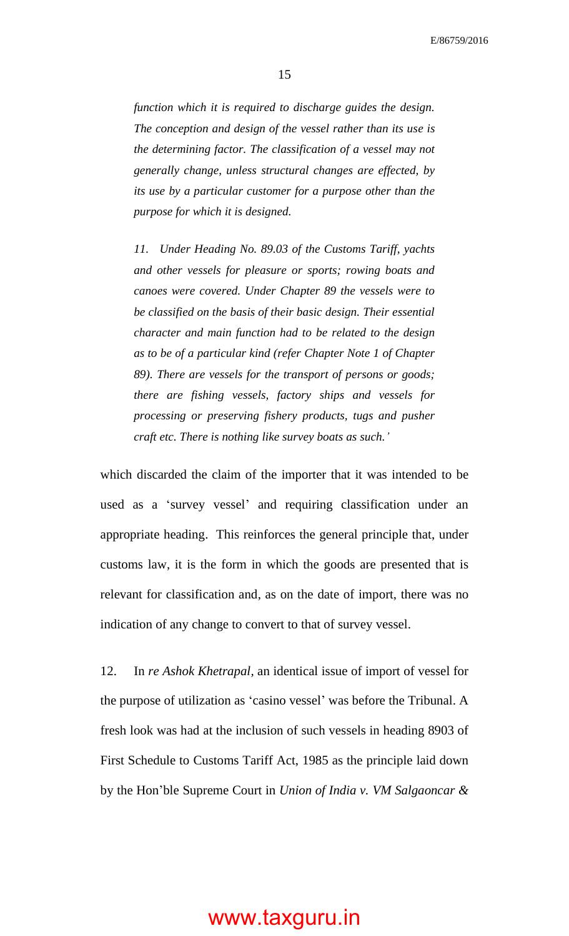15

*function which it is required to discharge guides the design. The conception and design of the vessel rather than its use is the determining factor. The classification of a vessel may not generally change, unless structural changes are effected, by its use by a particular customer for a purpose other than the purpose for which it is designed.*

*11. Under Heading No. 89.03 of the Customs Tariff, yachts and other vessels for pleasure or sports; rowing boats and canoes were covered. Under Chapter 89 the vessels were to be classified on the basis of their basic design. Their essential character and main function had to be related to the design as to be of a particular kind (refer Chapter Note 1 of Chapter 89). There are vessels for the transport of persons or goods; there are fishing vessels, factory ships and vessels for processing or preserving fishery products, tugs and pusher craft etc. There is nothing like survey boats as such.'*

which discarded the claim of the importer that it was intended to be used as a 'survey vessel' and requiring classification under an appropriate heading. This reinforces the general principle that, under customs law, it is the form in which the goods are presented that is relevant for classification and, as on the date of import, there was no indication of any change to convert to that of survey vessel.

12. In *re Ashok Khetrapal,* an identical issue of import of vessel for the purpose of utilization as 'casino vessel' was before the Tribunal. A fresh look was had at the inclusion of such vessels in heading 8903 of First Schedule to Customs Tariff Act, 1985 as the principle laid down by the Hon'ble Supreme Court in *Union of India v. VM Salgaoncar &*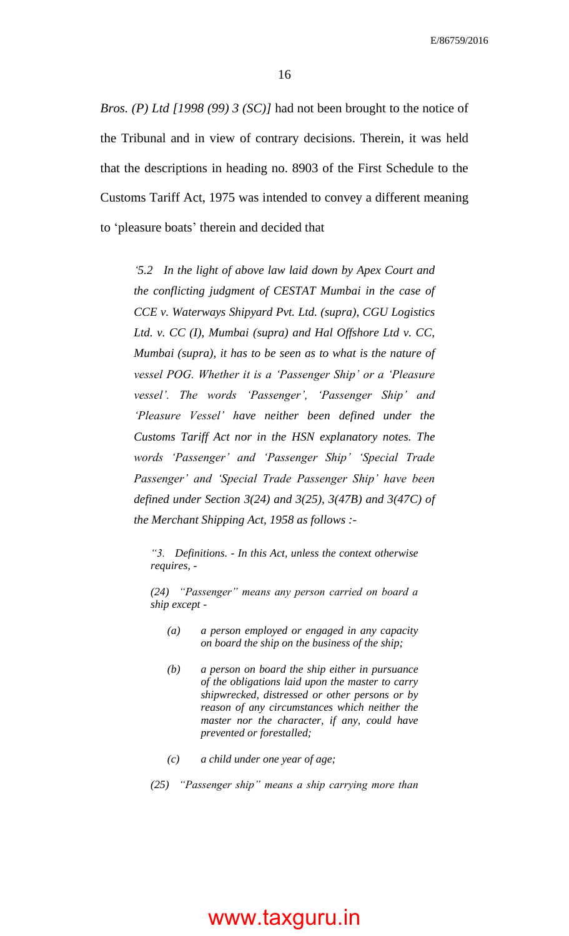*Bros. (P) Ltd [1998 (99) 3 (SC)]* had not been brought to the notice of the Tribunal and in view of contrary decisions. Therein, it was held that the descriptions in heading no. 8903 of the First Schedule to the Customs Tariff Act, 1975 was intended to convey a different meaning to 'pleasure boats' therein and decided that

*'5.2 In the light of above law laid down by Apex Court and the conflicting judgment of CESTAT Mumbai in the case of CCE v. Waterways Shipyard Pvt. Ltd. (supra), CGU Logistics Ltd. v. CC (I), Mumbai (supra) and Hal Offshore Ltd v. CC, Mumbai (supra), it has to be seen as to what is the nature of vessel POG. Whether it is a 'Passenger Ship' or a 'Pleasure vessel'. The words 'Passenger', 'Passenger Ship' and 'Pleasure Vessel' have neither been defined under the Customs Tariff Act nor in the HSN explanatory notes. The words 'Passenger' and 'Passenger Ship' 'Special Trade Passenger' and 'Special Trade Passenger Ship' have been defined under Section 3(24) and 3(25), 3(47B) and 3(47C) of the Merchant Shipping Act, 1958 as follows :-*

*"3. Definitions. - In this Act, unless the context otherwise requires, -*

*(24) "Passenger" means any person carried on board a ship except -*

- *(a) a person employed or engaged in any capacity on board the ship on the business of the ship;*
- *(b) a person on board the ship either in pursuance of the obligations laid upon the master to carry shipwrecked, distressed or other persons or by reason of any circumstances which neither the master nor the character, if any, could have prevented or forestalled;*
- *(c) a child under one year of age;*
- *(25) "Passenger ship" means a ship carrying more than*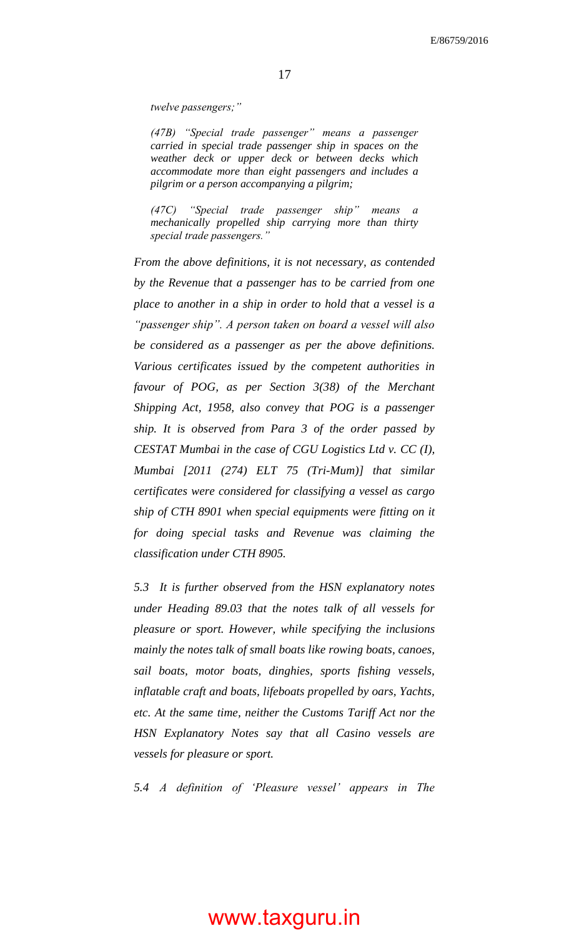*twelve passengers;"*

*(47B) "Special trade passenger" means a passenger carried in special trade passenger ship in spaces on the weather deck or upper deck or between decks which accommodate more than eight passengers and includes a pilgrim or a person accompanying a pilgrim;*

*(47C) "Special trade passenger ship" means a mechanically propelled ship carrying more than thirty special trade passengers."*

*From the above definitions, it is not necessary, as contended by the Revenue that a passenger has to be carried from one place to another in a ship in order to hold that a vessel is a "passenger ship". A person taken on board a vessel will also be considered as a passenger as per the above definitions. Various certificates issued by the competent authorities in favour of POG, as per Section 3(38) of the Merchant Shipping Act, 1958, also convey that POG is a passenger ship. It is observed from Para 3 of the order passed by CESTAT Mumbai in the case of CGU Logistics Ltd v. CC (I), Mumbai [2011 (274) ELT 75 (Tri-Mum)] that similar certificates were considered for classifying a vessel as cargo ship of CTH 8901 when special equipments were fitting on it for doing special tasks and Revenue was claiming the classification under CTH 8905.*

*5.3 It is further observed from the HSN explanatory notes under Heading 89.03 that the notes talk of all vessels for pleasure or sport. However, while specifying the inclusions mainly the notes talk of small boats like rowing boats, canoes, sail boats, motor boats, dinghies, sports fishing vessels, inflatable craft and boats, lifeboats propelled by oars, Yachts, etc. At the same time, neither the Customs Tariff Act nor the HSN Explanatory Notes say that all Casino vessels are vessels for pleasure or sport.*

*5.4 A definition of 'Pleasure vessel' appears in The*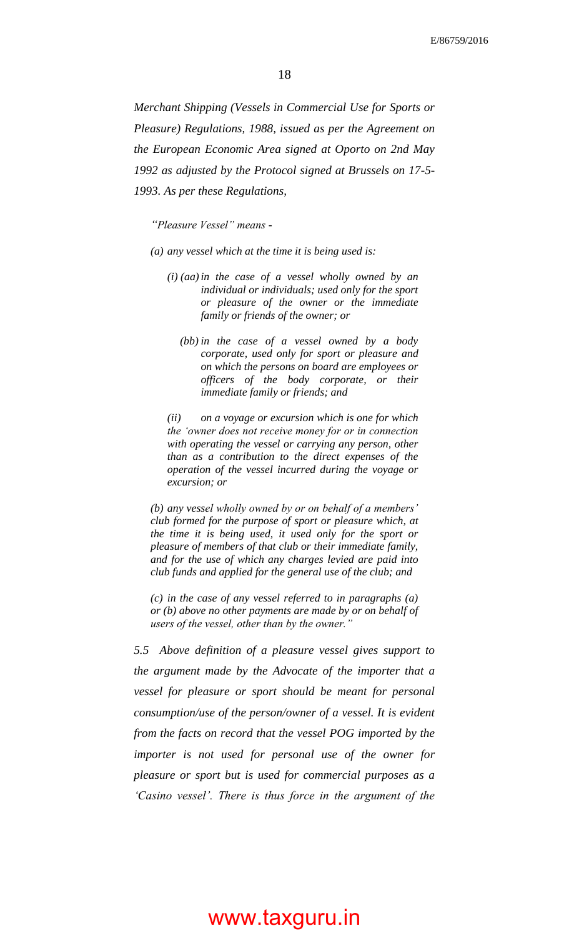*Merchant Shipping (Vessels in Commercial Use for Sports or Pleasure) Regulations, 1988, issued as per the Agreement on the European Economic Area signed at Oporto on 2nd May 1992 as adjusted by the Protocol signed at Brussels on 17-5- 1993. As per these Regulations,*

*"Pleasure Vessel" means -*

*(a) any vessel which at the time it is being used is:*

- *(i) (aa)in the case of a vessel wholly owned by an individual or individuals; used only for the sport or pleasure of the owner or the immediate family or friends of the owner; or*
	- *(bb) in the case of a vessel owned by a body corporate, used only for sport or pleasure and on which the persons on board are employees or officers of the body corporate, or their immediate family or friends; and*

*(ii) on a voyage or excursion which is one for which the 'owner does not receive money for or in connection with operating the vessel or carrying any person, other than as a contribution to the direct expenses of the operation of the vessel incurred during the voyage or excursion; or*

*(b) any vessel wholly owned by or on behalf of a members' club formed for the purpose of sport or pleasure which, at the time it is being used, it used only for the sport or pleasure of members of that club or their immediate family, and for the use of which any charges levied are paid into club funds and applied for the general use of the club; and*

*(c) in the case of any vessel referred to in paragraphs (a) or (b) above no other payments are made by or on behalf of users of the vessel, other than by the owner."*

*5.5 Above definition of a pleasure vessel gives support to the argument made by the Advocate of the importer that a vessel for pleasure or sport should be meant for personal consumption/use of the person/owner of a vessel. It is evident from the facts on record that the vessel POG imported by the importer is not used for personal use of the owner for pleasure or sport but is used for commercial purposes as a 'Casino vessel'. There is thus force in the argument of the*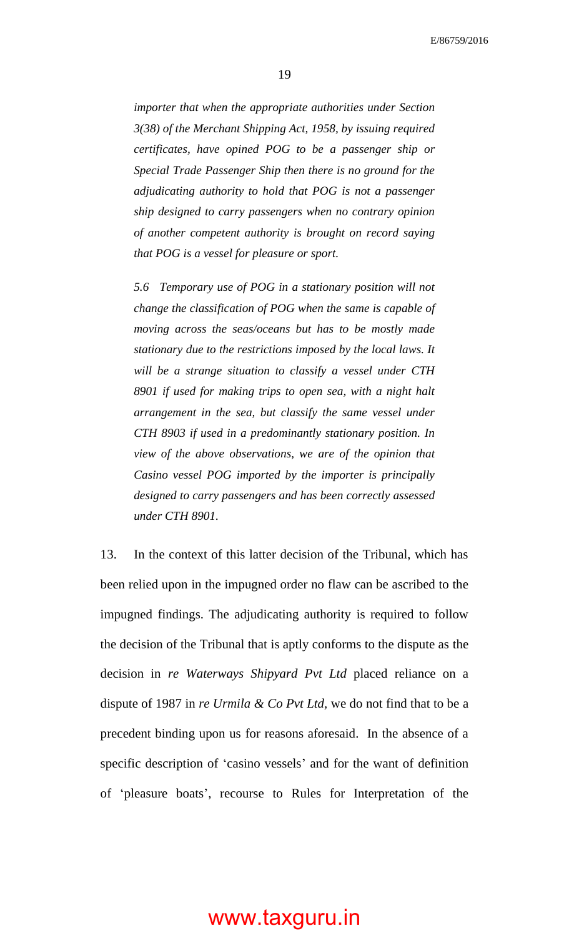*importer that when the appropriate authorities under Section 3(38) of the Merchant Shipping Act, 1958, by issuing required certificates, have opined POG to be a passenger ship or Special Trade Passenger Ship then there is no ground for the adjudicating authority to hold that POG is not a passenger ship designed to carry passengers when no contrary opinion of another competent authority is brought on record saying that POG is a vessel for pleasure or sport.*

*5.6 Temporary use of POG in a stationary position will not change the classification of POG when the same is capable of moving across the seas/oceans but has to be mostly made stationary due to the restrictions imposed by the local laws. It will be a strange situation to classify a vessel under CTH 8901 if used for making trips to open sea, with a night halt arrangement in the sea, but classify the same vessel under CTH 8903 if used in a predominantly stationary position. In view of the above observations, we are of the opinion that Casino vessel POG imported by the importer is principally designed to carry passengers and has been correctly assessed under CTH 8901.*

13. In the context of this latter decision of the Tribunal, which has been relied upon in the impugned order no flaw can be ascribed to the impugned findings. The adjudicating authority is required to follow the decision of the Tribunal that is aptly conforms to the dispute as the decision in *re Waterways Shipyard Pvt Ltd* placed reliance on a dispute of 1987 in *re Urmila & Co Pvt Ltd,* we do not find that to be a precedent binding upon us for reasons aforesaid. In the absence of a specific description of 'casino vessels' and for the want of definition of 'pleasure boats', recourse to Rules for Interpretation of the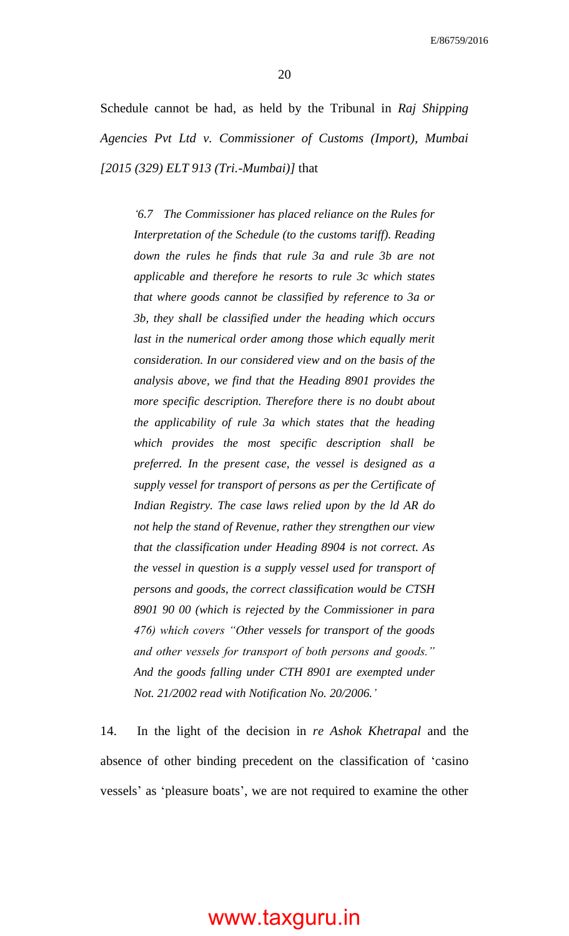Schedule cannot be had, as held by the Tribunal in *Raj Shipping Agencies Pvt Ltd v. Commissioner of Customs (Import), Mumbai [2015 (329) ELT 913 (Tri.-Mumbai)]* that

*'6.7 The Commissioner has placed reliance on the Rules for Interpretation of the Schedule (to the customs tariff). Reading down the rules he finds that rule 3a and rule 3b are not applicable and therefore he resorts to rule 3c which states that where goods cannot be classified by reference to 3a or 3b, they shall be classified under the heading which occurs*  last in the numerical order among those which equally merit *consideration. In our considered view and on the basis of the analysis above, we find that the Heading 8901 provides the more specific description. Therefore there is no doubt about the applicability of rule 3a which states that the heading which provides the most specific description shall be preferred. In the present case, the vessel is designed as a supply vessel for transport of persons as per the Certificate of Indian Registry. The case laws relied upon by the ld AR do not help the stand of Revenue, rather they strengthen our view that the classification under Heading 8904 is not correct. As the vessel in question is a supply vessel used for transport of persons and goods, the correct classification would be CTSH 8901 90 00 (which is rejected by the Commissioner in para 476) which covers "Other vessels for transport of the goods and other vessels for transport of both persons and goods." And the goods falling under CTH 8901 are exempted under Not. 21/2002 read with Notification No. 20/2006.'*

14. In the light of the decision in *re Ashok Khetrapal* and the absence of other binding precedent on the classification of 'casino vessels' as 'pleasure boats', we are not required to examine the other